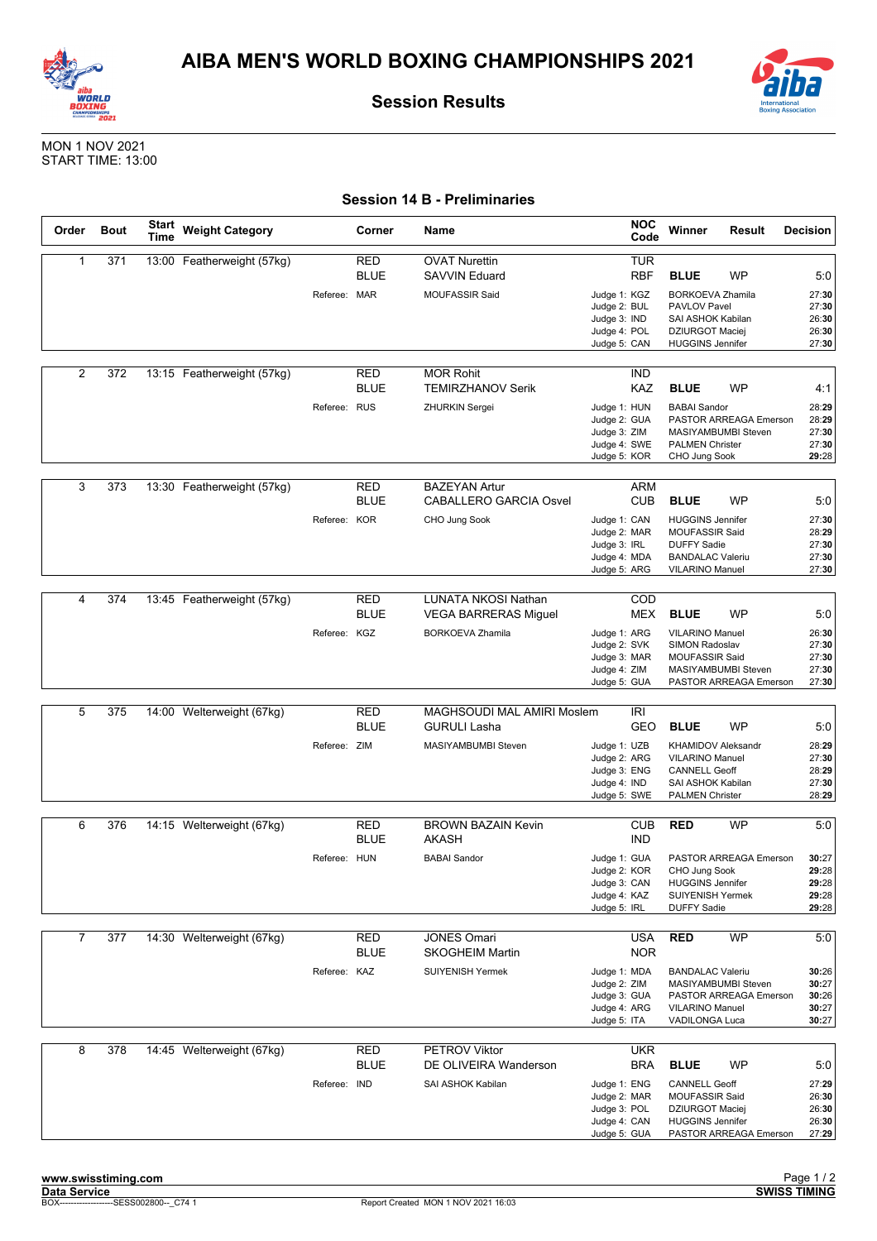



**Session Results**

MON 1 NOV 2021 START TIME: 13:00

## **Session 14 B - Preliminaries**

| Order          | <b>Bout</b> | Start<br>Time | <b>Weight Category</b>     |              | Corner                    | Name                                                                          | <b>NOC</b><br>Code                                                                                       | Winner                                                                                                                                         | Result | Decision                                         |
|----------------|-------------|---------------|----------------------------|--------------|---------------------------|-------------------------------------------------------------------------------|----------------------------------------------------------------------------------------------------------|------------------------------------------------------------------------------------------------------------------------------------------------|--------|--------------------------------------------------|
| $\mathbf{1}$   | 371         |               | 13:00 Featherweight (57kg) | Referee: MAR | RED<br><b>BLUE</b>        | <b>OVAT Nurettin</b><br><b>SAVVIN Eduard</b><br><b>MOUFASSIR Said</b>         | <b>TUR</b><br><b>RBF</b><br>Judge 1: KGZ<br>Judge 2: BUL<br>Judge 3: IND<br>Judge 4: POL<br>Judge 5: CAN | <b>BLUE</b><br>WP<br><b>BORKOEVA Zhamila</b><br>PAVLOV Pavel<br>SAI ASHOK Kabilan<br><b>DZIURGOT Maciej</b><br><b>HUGGINS Jennifer</b>         |        | 5:0<br>27:30<br>27:30<br>26:30<br>26:30<br>27:30 |
| 2              | 372         |               | 13:15 Featherweight (57kg) | Referee: RUS | <b>RED</b><br><b>BLUE</b> | <b>MOR Rohit</b><br><b>TEMIRZHANOV Serik</b><br>ZHURKIN Sergei                | <b>IND</b><br>KAZ<br>Judge 1: HUN<br>Judge 2: GUA<br>Judge 3: ZIM<br>Judge 4: SWE<br>Judge 5: KOR        | <b>BLUE</b><br>WP<br><b>BABAI Sandor</b><br>PASTOR ARREAGA Emerson<br>MASIYAMBUMBI Steven<br><b>PALMEN Christer</b><br>CHO Jung Sook           |        | 4:1<br>28:29<br>28:29<br>27:30<br>27:30<br>29:28 |
| 3              | 373         |               | 13:30 Featherweight (57kg) | Referee: KOR | RED<br><b>BLUE</b>        | <b>BAZEYAN Artur</b><br><b>CABALLERO GARCIA Osvel</b><br>CHO Jung Sook        | <b>ARM</b><br>CUB<br>Judge 1: CAN<br>Judge 2: MAR<br>Judge 3: IRL<br>Judge 4: MDA<br>Judge 5: ARG        | <b>BLUE</b><br><b>WP</b><br><b>HUGGINS Jennifer</b><br>MOUFASSIR Said<br><b>DUFFY Sadie</b><br><b>BANDALAC Valeriu</b><br>VILARINO Manuel      |        | 5:0<br>27:30<br>28:29<br>27:30<br>27:30<br>27:30 |
| 4              | 374         |               | 13:45 Featherweight (57kg) | Referee: KGZ | <b>RED</b><br><b>BLUE</b> | LUNATA NKOSI Nathan<br><b>VEGA BARRERAS Miguel</b><br><b>BORKOEVA Zhamila</b> | COD<br><b>MEX</b><br>Judge 1: ARG<br>Judge 2: SVK<br>Judge 3: MAR<br>Judge 4: ZIM<br>Judge 5: GUA        | <b>BLUE</b><br><b>WP</b><br><b>VILARINO Manuel</b><br>SIMON Radoslav<br><b>MOUFASSIR Said</b><br>MASIYAMBUMBI Steven<br>PASTOR ARREAGA Emerson |        | 5:0<br>26:30<br>27:30<br>27:30<br>27:30<br>27:30 |
| 5              | 375         |               | 14:00 Welterweight (67kg)  | Referee: ZIM | <b>RED</b><br><b>BLUE</b> | MAGHSOUDI MAL AMIRI Moslem<br><b>GURULI Lasha</b><br>MASIYAMBUMBI Steven      | IRI<br>GEO<br>Judge 1: UZB<br>Judge 2: ARG<br>Judge 3: ENG<br>Judge 4: IND<br>Judge 5: SWE               | <b>BLUE</b><br><b>WP</b><br>KHAMIDOV Aleksandr<br>VILARINO Manuel<br><b>CANNELL Geoff</b><br>SAI ASHOK Kabilan<br><b>PALMEN Christer</b>       |        | 5:0<br>28:29<br>27:30<br>28:29<br>27:30<br>28:29 |
| 6              | 376         |               | 14:15 Welterweight (67kg)  | Referee: HUN | RED<br><b>BLUE</b>        | <b>BROWN BAZAIN Kevin</b><br><b>AKASH</b><br><b>BABAI</b> Sandor              | <b>CUB</b><br><b>IND</b><br>Judge 1: GUA<br>Judge 2: KOR<br>Judge 3: CAN<br>Judge 4: KAZ<br>Judge 5: IRL | <b>RED</b><br>WP<br>PASTOR ARREAGA Emerson<br>CHO Jung Sook<br><b>HUGGINS Jennifer</b><br>SUIYENISH Yermek<br><b>DUFFY Sadie</b>               |        | 5:0<br>30:27<br>29:28<br>29:28<br>29:28<br>29:28 |
| $\overline{7}$ | 377         |               | 14:30 Welterweight (67kg)  | Referee: KAZ | <b>RED</b><br><b>BLUE</b> | <b>JONES Omari</b><br><b>SKOGHEIM Martin</b><br><b>SUIYENISH Yermek</b>       | <b>USA</b><br><b>NOR</b><br>Judge 1: MDA<br>Judge 2: ZIM<br>Judge 3: GUA<br>Judge 4: ARG<br>Judge 5: ITA | <b>RED</b><br>WP<br><b>BANDALAC Valeriu</b><br>MASIYAMBUMBI Steven<br>PASTOR ARREAGA Emerson<br>VILARINO Manuel<br>VADILONGA Luca              |        | 5:0<br>30:26<br>30:27<br>30:26<br>30:27<br>30:27 |
| 8              | 378         |               | 14:45 Welterweight (67kg)  | Referee: IND | <b>RED</b><br><b>BLUE</b> | <b>PETROV Viktor</b><br>DE OLIVEIRA Wanderson<br>SAI ASHOK Kabilan            | <b>UKR</b><br><b>BRA</b><br>Judge 1: ENG<br>Judge 2: MAR<br>Judge 3: POL<br>Judge 4: CAN<br>Judge 5: GUA | <b>BLUE</b><br>WP<br><b>CANNELL Geoff</b><br>MOUFASSIR Said<br><b>DZIURGOT Maciej</b><br><b>HUGGINS Jennifer</b><br>PASTOR ARREAGA Emerson     |        | 5:0<br>27:29<br>26:30<br>26:30<br>26:30<br>27:29 |